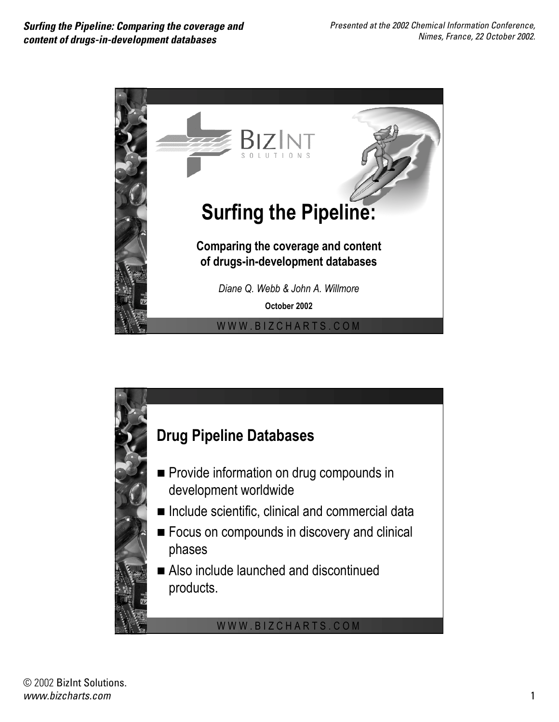

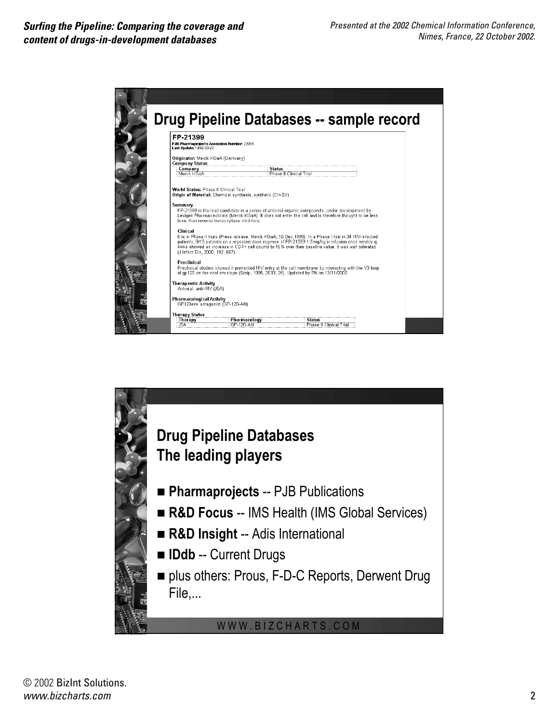

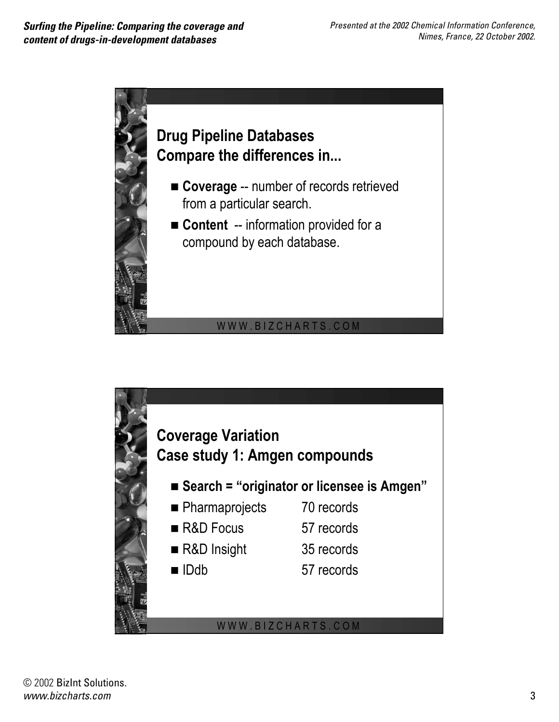

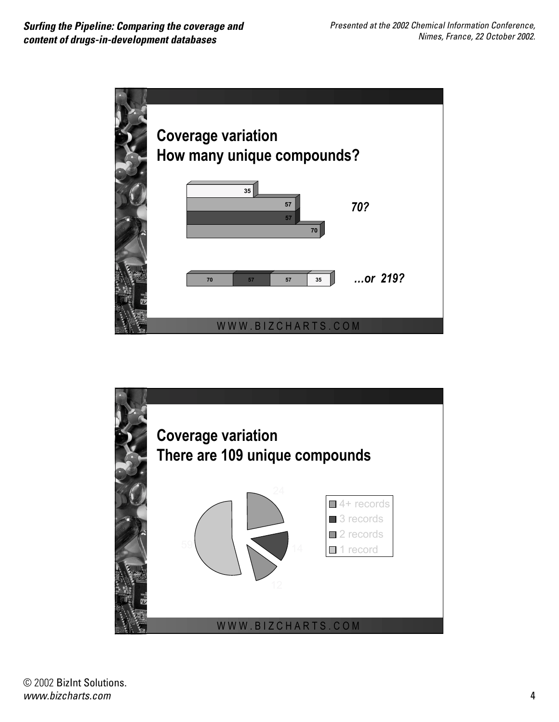

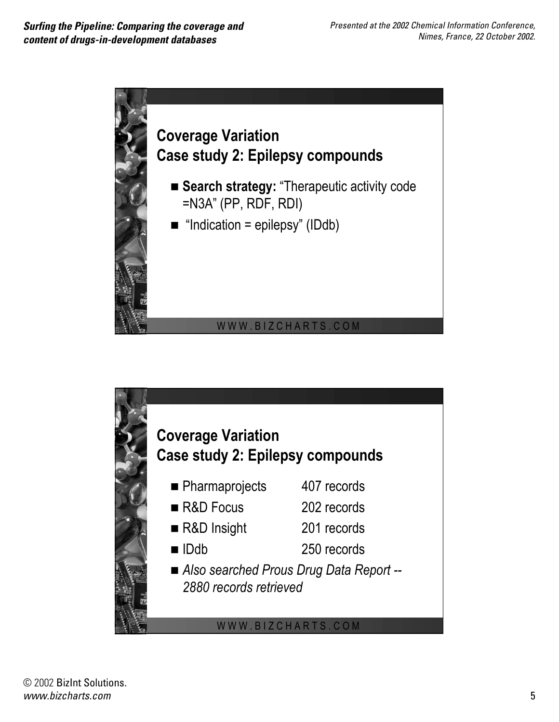

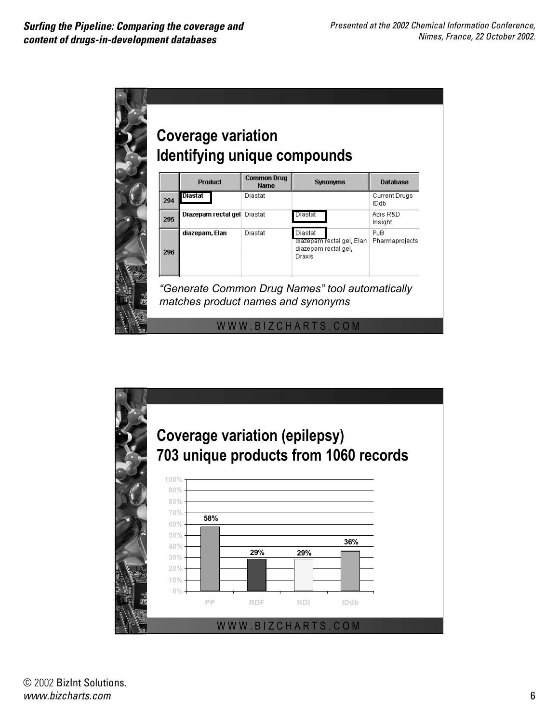



© 2002 BizInt Solutions. *www.bizcharts.com* 6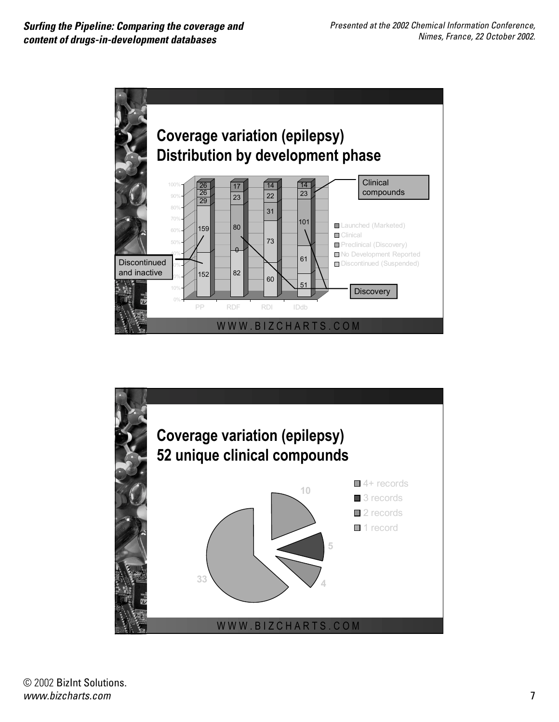

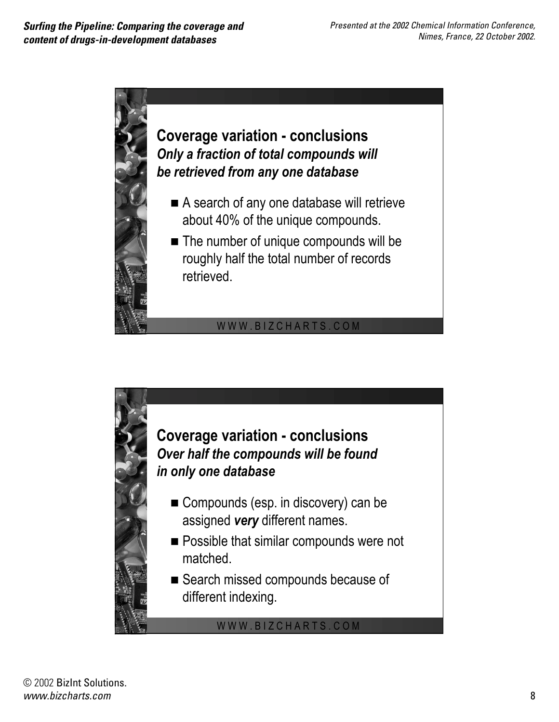

- A search of any one database will retrieve about 40% of the unique compounds.
- **The number of unique compounds will be** roughly half the total number of records retrieved.

## WWW.BIZCHARTS.COM

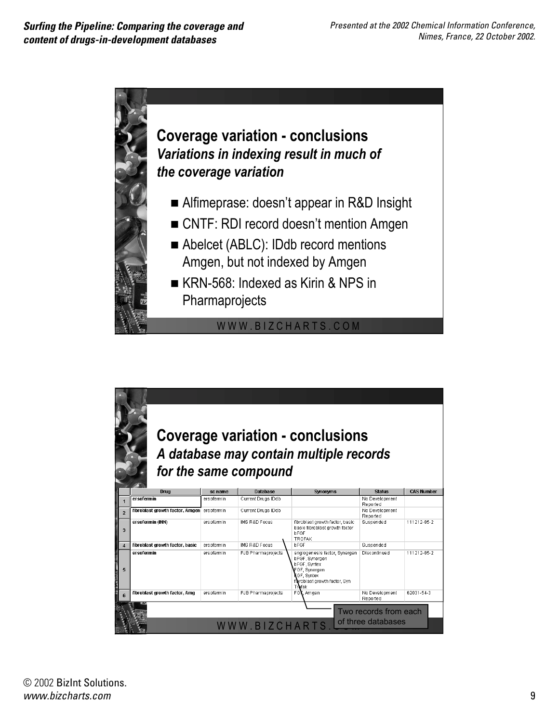

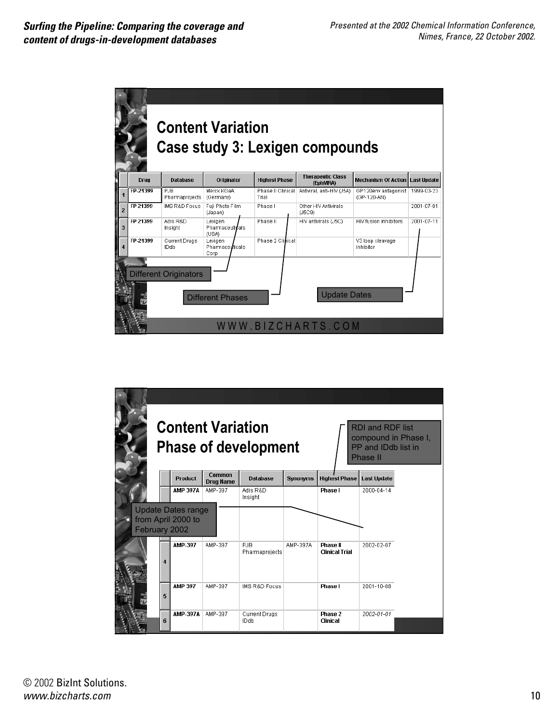

| <b>Content Variation</b><br><b>RDI and RDF list</b><br>compound in Phase I,<br><b>Phase of development</b><br>PP and IDdb list in<br>Phase II |              |                                                 |                                   |                              |                 |                                   |                    |  |
|-----------------------------------------------------------------------------------------------------------------------------------------------|--------------|-------------------------------------------------|-----------------------------------|------------------------------|-----------------|-----------------------------------|--------------------|--|
|                                                                                                                                               |              | <b>Product</b>                                  | <b>Common</b><br><b>Drug Name</b> | <b>Database</b>              | <b>Synonyms</b> | <b>Highest Phase</b>              | <b>Last Update</b> |  |
|                                                                                                                                               |              | <b>AMP 397A</b>                                 | AMP-397                           | Adis R&D<br>Insight          |                 | Phase I                           | 2000-04-14         |  |
| February 2002                                                                                                                                 |              | <b>Update Dates range</b><br>from April 2000 to |                                   |                              |                 |                                   |                    |  |
|                                                                                                                                               | $\mathbf{A}$ | AMP-397                                         | AMP-397                           | PJB<br>Pharmaprojects        | AMP-397A        | Phase II<br><b>Clinical Trial</b> | 2002-02-07         |  |
|                                                                                                                                               | 5            | <b>AMP 397</b>                                  | AMP-397                           | <b>IMS R&amp;D Focus</b>     |                 | Phase I                           | 2001-10-08         |  |
|                                                                                                                                               | 6            | <b>AMP-397A</b>                                 | AMP-397                           | <b>Current Drugs</b><br>IDdb |                 | Phase 2<br>Clinical               | 2002-01-01         |  |

© 2002 BizInt Solutions. *www.bizcharts.com* 10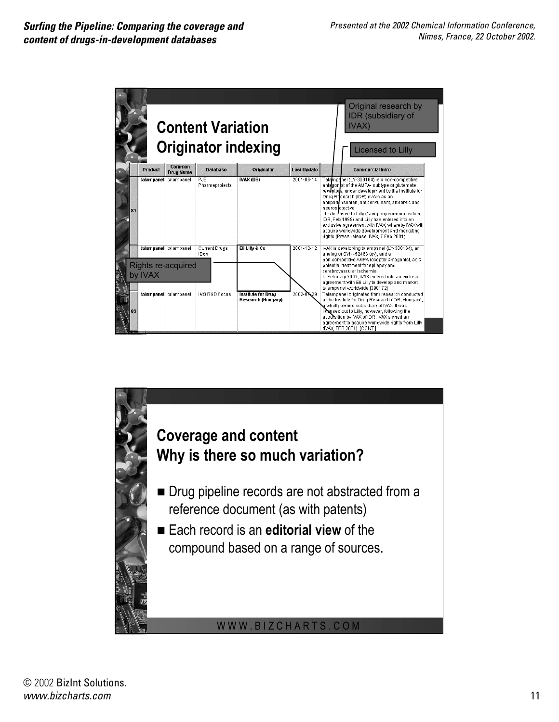

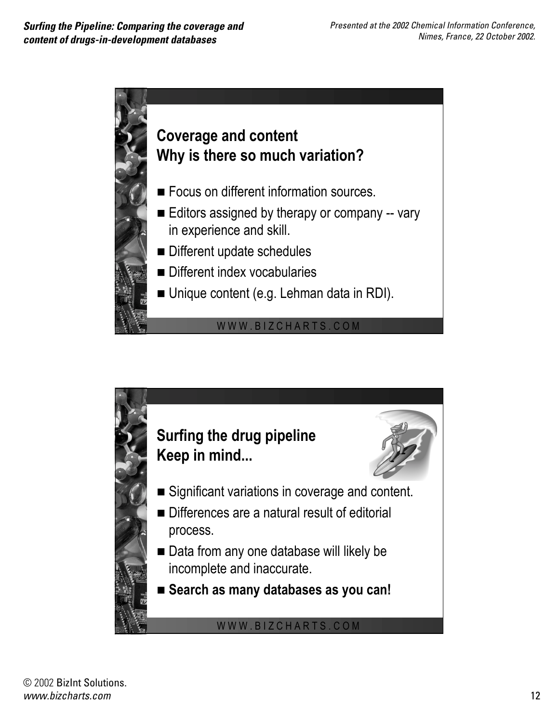